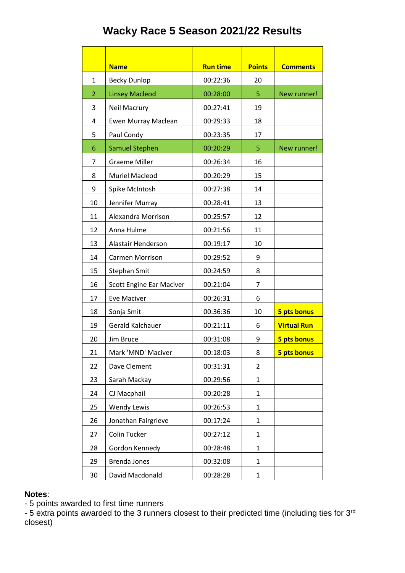## **Wacky Race 5 Season 2021/22 Results**

|                | <b>Name</b>              | <b>Run time</b> | <b>Points</b>  | <b>Comments</b>    |
|----------------|--------------------------|-----------------|----------------|--------------------|
| $\mathbf{1}$   | <b>Becky Dunlop</b>      | 00:22:36        | 20             |                    |
| $\overline{2}$ | <b>Linsey Macleod</b>    | 00:28:00        | 5              | New runner!        |
| 3              | Neil Macrury             | 00:27:41        | 19             |                    |
| 4              | Ewen Murray Maclean      | 00:29:33        | 18             |                    |
| 5              | Paul Condy               | 00:23:35        | 17             |                    |
| 6              | <b>Samuel Stephen</b>    | 00:20:29        | 5              | New runner!        |
| 7              | <b>Graeme Miller</b>     | 00:26:34        | 16             |                    |
| 8              | <b>Muriel Macleod</b>    | 00:20:29        | 15             |                    |
| 9              | Spike McIntosh           | 00:27:38        | 14             |                    |
| 10             | Jennifer Murray          | 00:28:41        | 13             |                    |
| 11             | Alexandra Morrison       | 00:25:57        | 12             |                    |
| 12             | Anna Hulme               | 00:21:56        | 11             |                    |
| 13             | Alastair Henderson       | 00:19:17        | 10             |                    |
| 14             | <b>Carmen Morrison</b>   | 00:29:52        | 9              |                    |
| 15             | Stephan Smit             | 00:24:59        | 8              |                    |
| 16             | Scott Engine Ear Maciver | 00:21:04        | 7              |                    |
| 17             | <b>Eve Maciver</b>       | 00:26:31        | 6              |                    |
| 18             | Sonja Smit               | 00:36:36        | 10             | 5 pts bonus        |
| 19             | Gerald Kalchauer         | 00:21:11        | 6              | <b>Virtual Run</b> |
| 20             | Jim Bruce                | 00:31:08        | 9              | 5 pts bonus        |
| 21             | Mark 'MND' Maciver       | 00:18:03        | 8              | 5 pts bonus        |
| 22             | Dave Clement             | 00:31:31        | $\overline{2}$ |                    |
| 23             | Sarah Mackay             | 00:29:56        | $\mathbf{1}$   |                    |
| 24             | CJ Macphail              | 00:20:28        | 1              |                    |
| 25             | <b>Wendy Lewis</b>       | 00:26:53        | $\mathbf{1}$   |                    |
| 26             | Jonathan Fairgrieve      | 00:17:24        | $\mathbf{1}$   |                    |
| 27             | Colin Tucker             | 00:27:12        | $\mathbf{1}$   |                    |
| 28             | Gordon Kennedy           | 00:28:48        | $\mathbf{1}$   |                    |
| 29             | Brenda Jones             | 00:32:08        | $\mathbf{1}$   |                    |
| 30             | David Macdonald          | 00:28:28        | $\mathbf{1}$   |                    |

## **Notes**:

- 5 points awarded to first time runners

- 5 extra points awarded to the 3 runners closest to their predicted time (including ties for 3<sup>rd</sup> closest)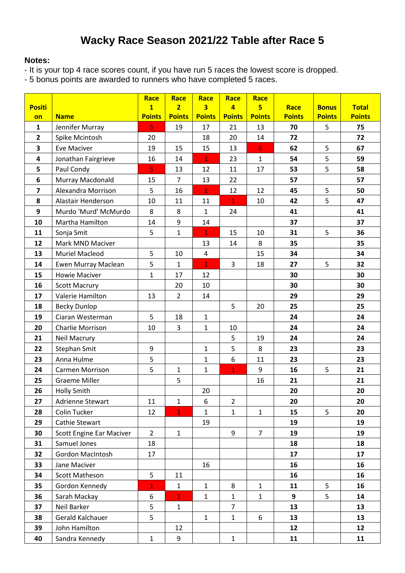## **Wacky Race Season 2021/22 Table after Race 5**

## **Notes:**

- It is your top 4 race scores count, if you have run 5 races the lowest score is dropped.

- 5 bonus points are awarded to runners who have completed 5 races.

|                         |                                 | Race                    | Race           | Race          | Race           | Race             |               |               |               |
|-------------------------|---------------------------------|-------------------------|----------------|---------------|----------------|------------------|---------------|---------------|---------------|
| <b>Positi</b>           |                                 | $\overline{\mathbf{1}}$ | $\overline{2}$ | 3             | $\overline{4}$ | 5 <sup>1</sup>   | Race          | <b>Bonus</b>  | <b>Total</b>  |
| on                      | <b>Name</b>                     | <b>Points</b>           | <b>Points</b>  | <b>Points</b> | <b>Points</b>  | <b>Points</b>    | <b>Points</b> | <b>Points</b> | <b>Points</b> |
| $\mathbf{1}$            | Jennifer Murray                 | 5                       | 19             | 17            | 21             | 13               | 70            | 5             | 75            |
| $\overline{2}$          | Spike Mcintosh                  | 20                      |                | 18            | 20             | 14               | 72            |               | 72            |
| 3                       | <b>Eve Maciver</b>              | 19                      | 15             | 15            | 13             | $6 \overline{6}$ | 62            | 5             | 67            |
| $\overline{\mathbf{4}}$ | Jonathan Fairgrieve             | 16                      | 14             | $\mathbf{1}$  | 23             | $\mathbf{1}$     | 54            | 5             | 59            |
| 5                       | Paul Condy                      | $\overline{5}$          | 13             | 12            | 11             | 17               | 53            | 5             | 58            |
| 6                       | Murray Macdonald                | 15                      | $\overline{7}$ | 13            | 22             |                  | 57            |               | 57            |
| $\overline{7}$          | Alexandra Morrison              | 5                       | 16             | $\mathbf{1}$  | 12             | 12               | 45            | 5             | 50            |
| 8                       | Alastair Henderson              | 10                      | 11             | 11            | $\mathbf{1}$   | 10               | 42            | 5             | 47            |
| 9                       | Murdo 'Murd' McMurdo            | 8                       | 8              | $\mathbf{1}$  | 24             |                  | 41            |               | 41            |
| 10                      | Martha Hamilton                 | 14                      | 9              | 14            |                |                  | 37            |               | 37            |
| 11                      | Sonja Smit                      | 5                       | $\mathbf{1}$   | $\mathbf{1}$  | 15             | 10               | 31            | 5             | 36            |
| 12                      | Mark MND Maciver                |                         |                | 13            | 14             | 8                | 35            |               | 35            |
| 13                      | <b>Muriel Macleod</b>           | 5                       | 10             | 4             |                | 15               | 34            |               | 34            |
| 14                      | Ewen Murray Maclean             | 5                       | $\mathbf{1}$   | $\mathbf{1}$  | $\overline{3}$ | 18               | 27            | 5             | 32            |
| 15                      | <b>Howie Maciver</b>            | $\mathbf{1}$            | 17             | 12            |                |                  | 30            |               | 30            |
| 16                      | <b>Scott Macrury</b>            |                         | 20             | 10            |                |                  | 30            |               | 30            |
| 17                      | Valerie Hamilton                | 13                      | $\overline{2}$ | 14            |                |                  | 29            |               | 29            |
| 18                      | <b>Becky Dunlop</b>             |                         |                |               | 5              | 20               | 25            |               | 25            |
| 19                      | Ciaran Westerman                | 5                       | 18             | $\mathbf{1}$  |                |                  | 24            |               | 24            |
| 20                      | Charlie Morrison                | 10                      | 3              | $\mathbf{1}$  | 10             |                  | 24            |               | 24            |
| 21                      | <b>Neil Macrury</b>             |                         |                |               | 5              | 19               | 24            |               | 24            |
| 22                      | Stephan Smit                    | 9                       |                | $\mathbf{1}$  | 5              | 8                | 23            |               | 23            |
| 23                      | Anna Hulme                      | 5                       |                | $\mathbf{1}$  | 6              | 11               | 23            |               | 23            |
| 24                      | Carmen Morrison                 | 5                       | 1              | $\mathbf{1}$  | $\mathbf{1}$   | 9                | 16            | 5             | 21            |
| 25                      | <b>Graeme Miller</b>            |                         | 5              |               |                | 16               | 21            |               | 21            |
| 26                      | <b>Holly Smith</b>              |                         |                | 20            |                |                  | 20            |               | 20            |
| 27                      | Adrienne Stewart                | 11                      | 1              | 6             | $\overline{2}$ |                  | 20            |               | 20            |
| 28                      | Colin Tucker                    | 12                      | $\mathbf{1}$   | 1             | $\mathbf{1}$   | $\mathbf{1}$     | 15            | 5             | 20            |
| 29                      | Cathie Stewart                  |                         |                | 19            |                |                  | 19            |               | 19            |
| 30                      | <b>Scott Engine Ear Maciver</b> | $\overline{2}$          | $\mathbf{1}$   |               | 9              | $\overline{7}$   | 19            |               | 19            |
| 31                      | Samuel Jones                    | 18                      |                |               |                |                  | 18            |               | 18            |
| 32                      | Gordon MacIntosh                | 17                      |                |               |                |                  | 17            |               | 17            |
| 33                      | Jane Maciver                    |                         |                | 16            |                |                  | 16            |               | 16            |
| 34                      | Scott Matheson                  | 5                       | 11             |               |                |                  | 16            |               | 16            |
| 35                      | Gordon Kennedy                  | $\mathbf{1}$            | 1              | $\mathbf{1}$  | 8              | $\mathbf{1}$     | 11            | 5             | 16            |
| 36                      | Sarah Mackay                    | 6                       | $\mathbf{1}$   | $\mathbf{1}$  | $\mathbf{1}$   | $\mathbf{1}$     | 9             | 5             | 14            |
| 37                      | Neil Barker                     | 5                       | $\mathbf{1}$   |               | $\overline{7}$ |                  | 13            |               | 13            |
| 38                      | Gerald Kalchauer                | 5                       |                | $\mathbf{1}$  | $\mathbf{1}$   | 6                | 13            |               | 13            |
| 39                      | John Hamilton                   |                         | 12             |               |                |                  | 12            |               | 12            |
| 40                      | Sandra Kennedy                  | $1\,$                   | 9              |               | $\mathbf{1}$   |                  | 11            |               | 11            |